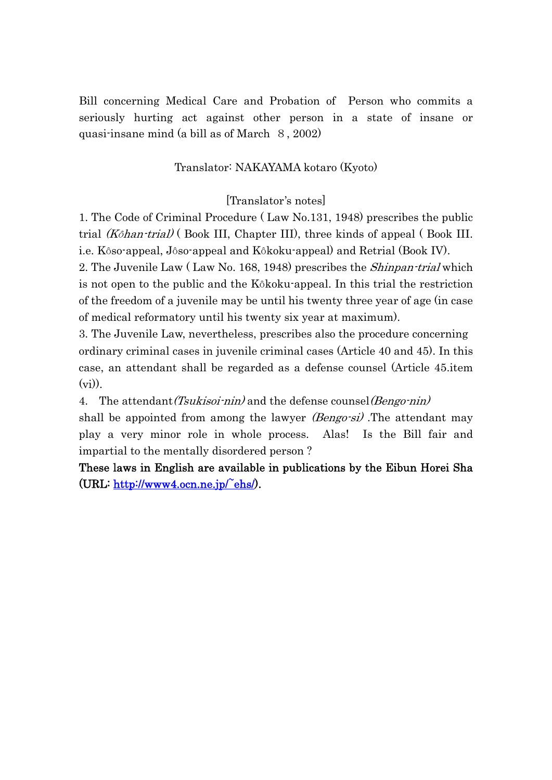Bill concerning Medical Care and Probation of Person who commits a seriously hurting act against other person in a state of insane or quasi-insane mind (a bill as of March 8, 2002)

### Translator: NAKAYAMA kotaro (Kyoto)

#### [Translator's notes]

1. The Code of Criminal Procedure ( Law No.131, 1948) prescribes the public trial (Kôhan-trial) (Book III, Chapter III), three kinds of appeal (Book III. i.e. Kôso-appeal, Jôso-appeal and Kôkoku-appeal) and Retrial (Book IV).

2. The Juvenile Law (Law No. 168, 1948) prescribes the *Shinpan-trial* which is not open to the public and the Kôkoku-appeal. In this trial the restriction of the freedom of a juvenile may be until his twenty three year of age (in case of medical reformatory until his twenty six year at maximum).

3. The Juvenile Law, nevertheless, prescribes also the procedure concerning ordinary criminal cases in juvenile criminal cases (Article 40 and 45). In this case, an attendant shall be regarded as a defense counsel (Article 45.item  $(v_i)$ ).

4. The attendant (Tsukisoi-nin) and the defense counsel (Bengo-nin)

shall be appointed from among the lawyer *(Bengo-si)*. The attendant may play a very minor role in whole process. Alas! Is the Bill fair and impartial to the mentally disordered person ?

These laws in English are available in publications by the Eibun Horei Sha (URL: http://www4.ocn.ne.jp/~ehs/).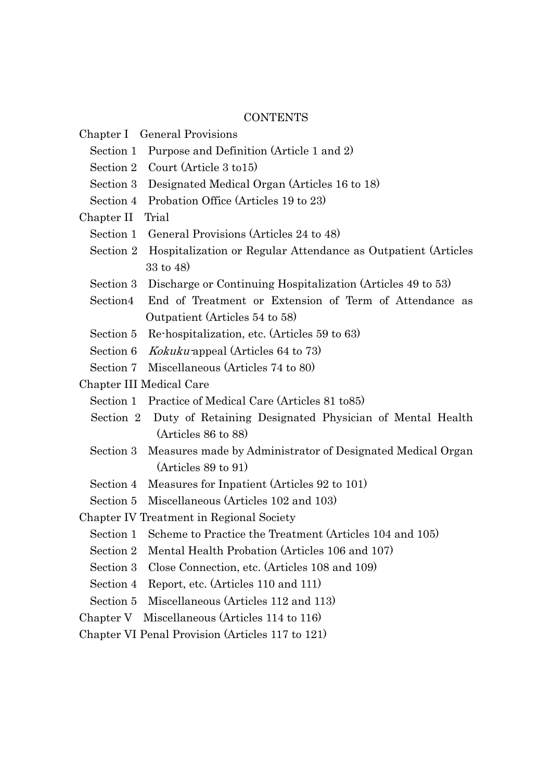# **CONTENTS**

|                                                  | Chapter I General Provisions                                            |
|--------------------------------------------------|-------------------------------------------------------------------------|
|                                                  | Section 1 Purpose and Definition (Article 1 and 2)                      |
|                                                  | Section 2 Court (Article 3 to 15)                                       |
|                                                  | Section 3 Designated Medical Organ (Articles 16 to 18)                  |
|                                                  | Section 4 Probation Office (Articles 19 to 23)                          |
| Chapter II Trial                                 |                                                                         |
| Section 1                                        | General Provisions (Articles 24 to 48)                                  |
|                                                  | Section 2 Hospitalization or Regular Attendance as Outpatient (Articles |
|                                                  | 33 to 48)                                                               |
|                                                  | Section 3 Discharge or Continuing Hospitalization (Articles 49 to 53)   |
| Section4                                         | End of Treatment or Extension of Term of Attendance as                  |
|                                                  | Outpatient (Articles 54 to 58)                                          |
|                                                  | Section 5 Re-hospitalization, etc. (Articles 59 to 63)                  |
|                                                  | Section 6 <i>Kokuku</i> -appeal (Articles 64 to 73)                     |
|                                                  | Section 7 Miscellaneous (Articles 74 to 80)                             |
| Chapter III Medical Care                         |                                                                         |
|                                                  | Section 1 Practice of Medical Care (Articles 81 to 85)                  |
|                                                  | Section 2 Duty of Retaining Designated Physician of Mental Health       |
|                                                  | (Articles 86 to 88)                                                     |
|                                                  | Section 3 Measures made by Administrator of Designated Medical Organ    |
|                                                  | (Articles 89 to 91)                                                     |
|                                                  | Section 4 Measures for Inpatient (Articles 92 to 101)                   |
|                                                  | Section 5 Miscellaneous (Articles 102 and 103)                          |
| Chapter IV Treatment in Regional Society         |                                                                         |
|                                                  | Section 1 Scheme to Practice the Treatment (Articles 104 and 105)       |
| Section 2                                        | Mental Health Probation (Articles 106 and 107)                          |
| Section 3                                        | Close Connection, etc. (Articles 108 and 109)                           |
| Section 4                                        | Report, etc. (Articles 110 and 111)                                     |
|                                                  | Section 5 Miscellaneous (Articles 112 and 113)                          |
| Miscellaneous (Articles 114 to 116)<br>Chapter V |                                                                         |
| Chapter VI Penal Provision (Articles 117 to 121) |                                                                         |
|                                                  |                                                                         |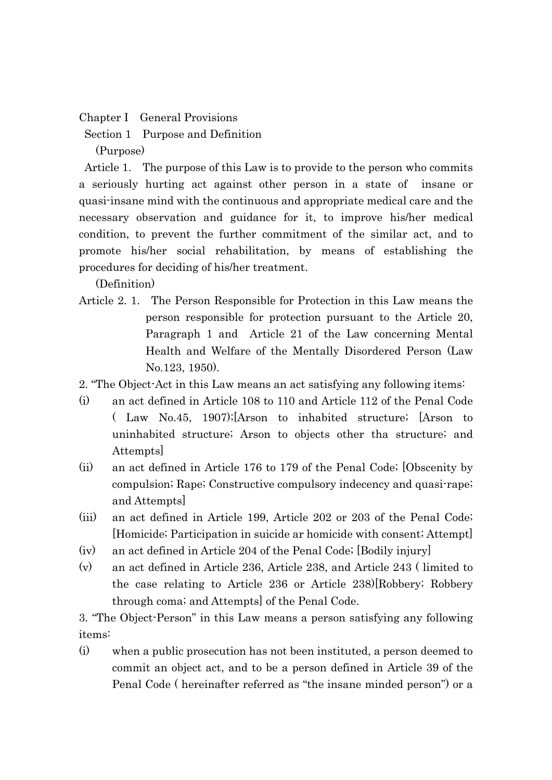Chapter I General Provisions

Section 1 Purpose and Definition

(Purpose)

 Article 1. The purpose of this Law is to provide to the person who commits a seriously hurting act against other person in a state of insane or quasi-insane mind with the continuous and appropriate medical care and the necessary observation and guidance for it, to improve his/her medical condition, to prevent the further commitment of the similar act, and to promote his/her social rehabilitation, by means of establishing the procedures for deciding of his/her treatment.

(Definition)

- Article 2. 1. The Person Responsible for Protection in this Law means the person responsible for protection pursuant to the Article 20, Paragraph 1 and Article 21 of the Law concerning Mental Health and Welfare of the Mentally Disordered Person (Law No.123, 1950).
- 2. "The Object-Act in this Law means an act satisfying any following items:
- (i) an act defined in Article 108 to 110 and Article 112 of the Penal Code ( Law No.45, 1907);[Arson to inhabited structure; [Arson to uninhabited structure; Arson to objects other tha structure; and Attempts]
- (ii) an act defined in Article 176 to 179 of the Penal Code; [Obscenity by compulsion; Rape; Constructive compulsory indecency and quasi-rape; and Attempts]
- (iii) an act defined in Article 199, Article 202 or 203 of the Penal Code; [Homicide; Participation in suicide ar homicide with consent; Attempt]
- (iv) an act defined in Article 204 of the Penal Code; [Bodily injury]
- (v) an act defined in Article 236, Article 238, and Article 243 ( limited to the case relating to Article 236 or Article 238)[Robbery; Robbery through coma; and Attempts] of the Penal Code.

3. "The Object-Person" in this Law means a person satisfying any following items:

(i) when a public prosecution has not been instituted, a person deemed to commit an object act, and to be a person defined in Article 39 of the Penal Code ( hereinafter referred as "the insane minded person") or a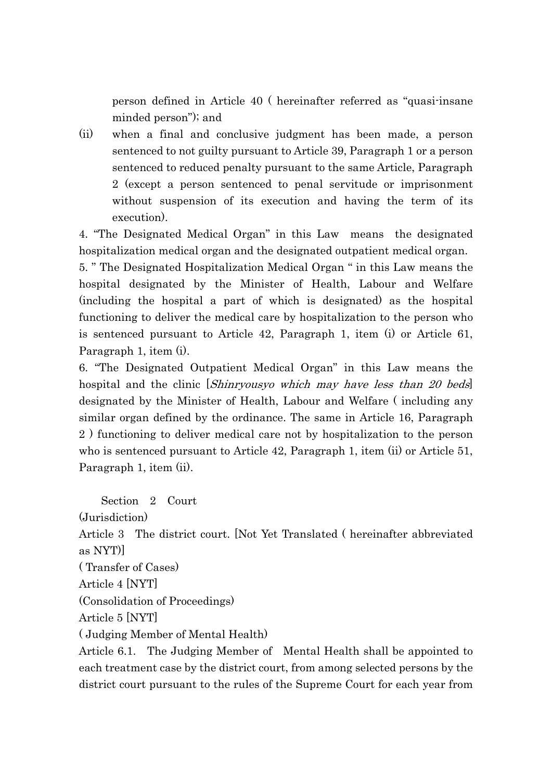person defined in Article 40 ( hereinafter referred as "quasi-insane minded person"); and

(ii) when a final and conclusive judgment has been made, a person sentenced to not guilty pursuant to Article 39, Paragraph 1 or a person sentenced to reduced penalty pursuant to the same Article, Paragraph 2 (except a person sentenced to penal servitude or imprisonment without suspension of its execution and having the term of its execution).

4. "The Designated Medical Organ" in this Law means the designated hospitalization medical organ and the designated outpatient medical organ.

5. " The Designated Hospitalization Medical Organ " in this Law means the hospital designated by the Minister of Health, Labour and Welfare (including the hospital a part of which is designated) as the hospital functioning to deliver the medical care by hospitalization to the person who is sentenced pursuant to Article 42, Paragraph 1, item (i) or Article 61, Paragraph 1, item (i).

6. "The Designated Outpatient Medical Organ" in this Law means the hospital and the clinic *[Shinryousyo which may have less than 20 beds*] designated by the Minister of Health, Labour and Welfare ( including any similar organ defined by the ordinance. The same in Article 16, Paragraph 2 ) functioning to deliver medical care not by hospitalization to the person who is sentenced pursuant to Article 42, Paragraph 1, item (ii) or Article 51, Paragraph 1, item (ii).

Section 2 Court

(Jurisdiction)

Article 3 The district court. [Not Yet Translated ( hereinafter abbreviated as NYT)]

( Transfer of Cases)

Article 4 [NYT]

(Consolidation of Proceedings)

Article 5 [NYT]

( Judging Member of Mental Health)

Article 6.1. The Judging Member of Mental Health shall be appointed to each treatment case by the district court, from among selected persons by the district court pursuant to the rules of the Supreme Court for each year from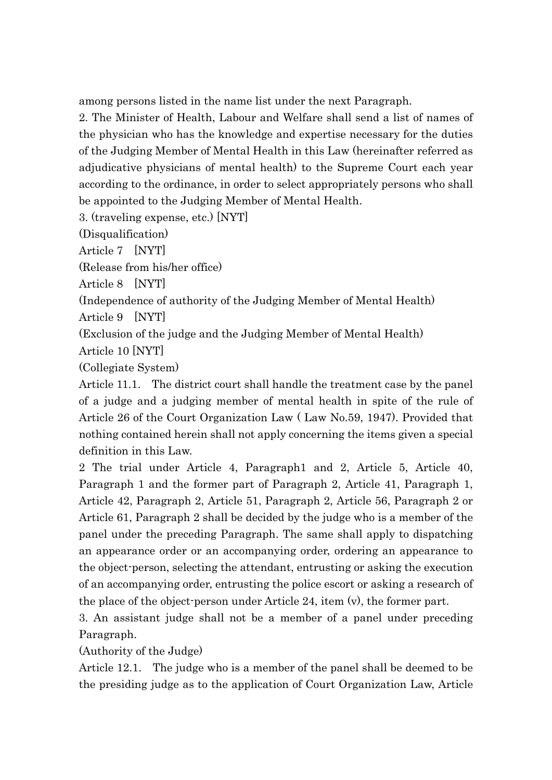among persons listed in the name list under the next Paragraph.

2. The Minister of Health, Labour and Welfare shall send a list of names of the physician who has the knowledge and expertise necessary for the duties of the Judging Member of Mental Health in this Law (hereinafter referred as adjudicative physicians of mental health) to the Supreme Court each year according to the ordinance, in order to select appropriately persons who shall be appointed to the Judging Member of Mental Health.

3. (traveling expense, etc.) [NYT]

(Disqualification)

Article 7 [NYT]

(Release from his/her office)

Article 8 [NYT]

(Independence of authority of the Judging Member of Mental Health)

Article 9 [NYT]

(Exclusion of the judge and the Judging Member of Mental Health)

Article 10 [NYT]

(Collegiate System)

Article 11.1. The district court shall handle the treatment case by the panel of a judge and a judging member of mental health in spite of the rule of Article 26 of the Court Organization Law ( Law No.59, 1947). Provided that nothing contained herein shall not apply concerning the items given a special definition in this Law.

2 The trial under Article 4, Paragraph1 and 2, Article 5, Article 40, Paragraph 1 and the former part of Paragraph 2, Article 41, Paragraph 1, Article 42, Paragraph 2, Article 51, Paragraph 2, Article 56, Paragraph 2 or Article 61, Paragraph 2 shall be decided by the judge who is a member of the panel under the preceding Paragraph. The same shall apply to dispatching an appearance order or an accompanying order, ordering an appearance to the object-person, selecting the attendant, entrusting or asking the execution of an accompanying order, entrusting the police escort or asking a research of the place of the object-person under Article 24, item (v), the former part.

3. An assistant judge shall not be a member of a panel under preceding Paragraph.

(Authority of the Judge)

Article 12.1. The judge who is a member of the panel shall be deemed to be the presiding judge as to the application of Court Organization Law, Article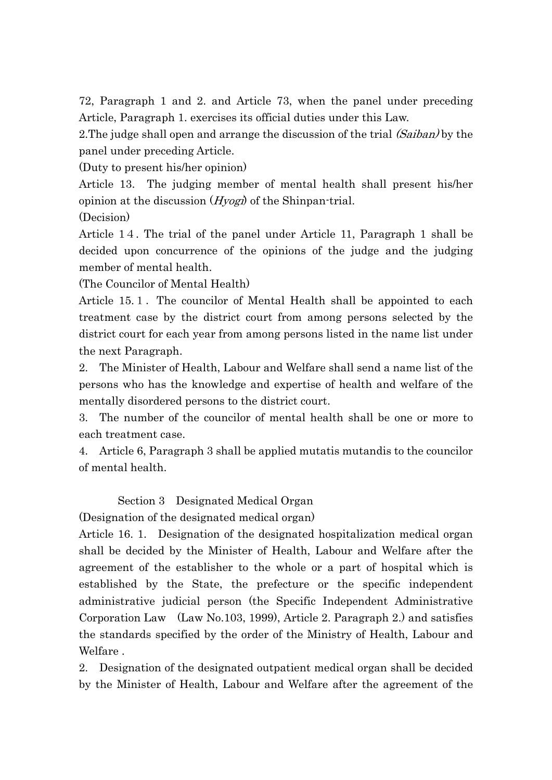72, Paragraph 1 and 2. and Article 73, when the panel under preceding Article, Paragraph 1. exercises its official duties under this Law.

2. The judge shall open and arrange the discussion of the trial (Saiban) by the panel under preceding Article.

(Duty to present his/her opinion)

Article 13. The judging member of mental health shall present his/her opinion at the discussion  $(Hyogx)$  of the Shinpan-trial.

(Decision)

Article 14. The trial of the panel under Article 11, Paragraph 1 shall be decided upon concurrence of the opinions of the judge and the judging member of mental health.

(The Councilor of Mental Health)

Article 15.1. The councilor of Mental Health shall be appointed to each treatment case by the district court from among persons selected by the district court for each year from among persons listed in the name list under the next Paragraph.

2. The Minister of Health, Labour and Welfare shall send a name list of the persons who has the knowledge and expertise of health and welfare of the mentally disordered persons to the district court.

3. The number of the councilor of mental health shall be one or more to each treatment case.

4. Article 6, Paragraph 3 shall be applied mutatis mutandis to the councilor of mental health.

Section 3 Designated Medical Organ

(Designation of the designated medical organ)

Article 16. 1. Designation of the designated hospitalization medical organ shall be decided by the Minister of Health, Labour and Welfare after the agreement of the establisher to the whole or a part of hospital which is established by the State, the prefecture or the specific independent administrative judicial person (the Specific Independent Administrative Corporation Law (Law No.103, 1999), Article 2. Paragraph 2.) and satisfies the standards specified by the order of the Ministry of Health, Labour and Welfare .

2. Designation of the designated outpatient medical organ shall be decided by the Minister of Health, Labour and Welfare after the agreement of the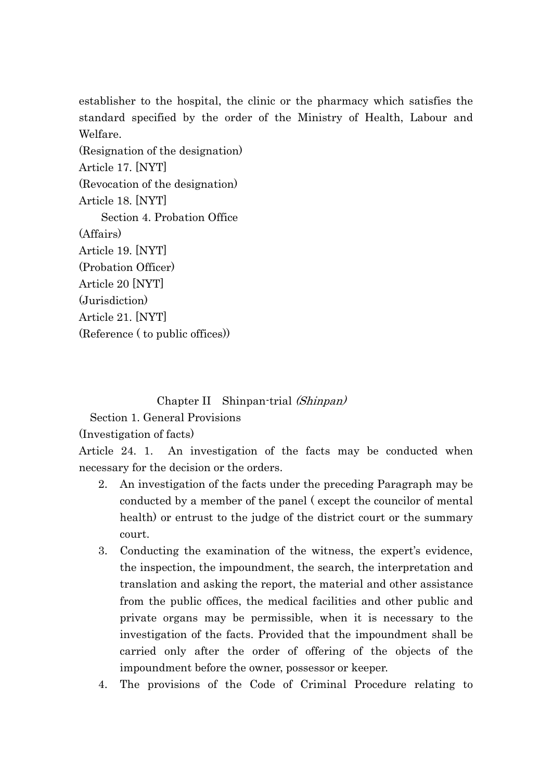establisher to the hospital, the clinic or the pharmacy which satisfies the standard specified by the order of the Ministry of Health, Labour and Welfare.

(Resignation of the designation) Article 17. [NYT] (Revocation of the designation) Article 18. [NYT] Section 4. Probation Office (Affairs) Article 19. [NYT] (Probation Officer) Article 20 [NYT] (Jurisdiction) Article 21. [NYT] (Reference ( to public offices))

#### Chapter II Shinpan-trial (Shinpan)

Section 1. General Provisions

(Investigation of facts)

Article 24. 1. An investigation of the facts may be conducted when necessary for the decision or the orders.

- 2. An investigation of the facts under the preceding Paragraph may be conducted by a member of the panel ( except the councilor of mental health) or entrust to the judge of the district court or the summary court.
- 3. Conducting the examination of the witness, the expert's evidence, the inspection, the impoundment, the search, the interpretation and translation and asking the report, the material and other assistance from the public offices, the medical facilities and other public and private organs may be permissible, when it is necessary to the investigation of the facts. Provided that the impoundment shall be carried only after the order of offering of the objects of the impoundment before the owner, possessor or keeper.
- 4. The provisions of the Code of Criminal Procedure relating to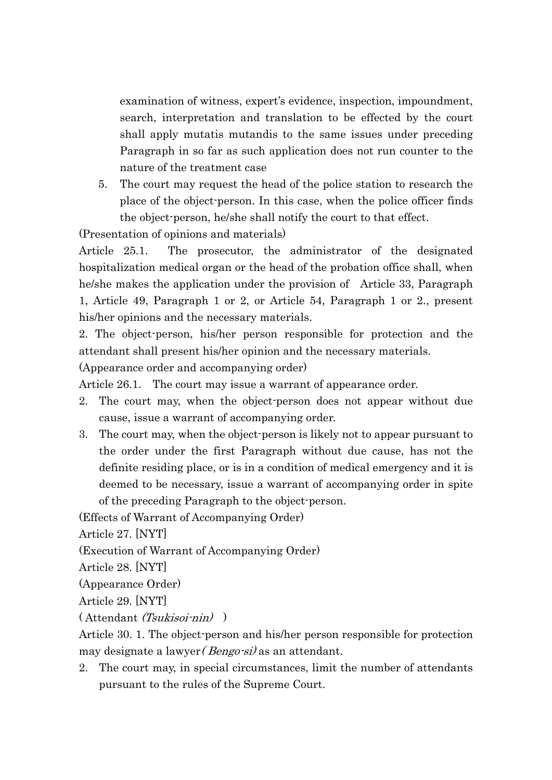examination of witness, expert's evidence, inspection, impoundment, search, interpretation and translation to be effected by the court shall apply mutatis mutandis to the same issues under preceding Paragraph in so far as such application does not run counter to the nature of the treatment case

5. The court may request the head of the police station to research the place of the object-person. In this case, when the police officer finds the object-person, he/she shall notify the court to that effect.

(Presentation of opinions and materials)

Article 25.1. The prosecutor, the administrator of the designated hospitalization medical organ or the head of the probation office shall, when he/she makes the application under the provision of Article 33, Paragraph 1, Article 49, Paragraph 1 or 2, or Article 54, Paragraph 1 or 2., present his/her opinions and the necessary materials.

2. The object-person, his/her person responsible for protection and the attendant shall present his/her opinion and the necessary materials.

(Appearance order and accompanying order)

Article 26.1. The court may issue a warrant of appearance order.

- 2. The court may, when the object-person does not appear without due cause, issue a warrant of accompanying order.
- 3. The court may, when the object-person is likely not to appear pursuant to the order under the first Paragraph without due cause, has not the definite residing place, or is in a condition of medical emergency and it is deemed to be necessary, issue a warrant of accompanying order in spite of the preceding Paragraph to the object-person.

(Effects of Warrant of Accompanying Order)

Article 27. [NYT]

(Execution of Warrant of Accompanying Order)

Article 28. [NYT]

(Appearance Order)

Article 29. [NYT]

( Attendant (Tsukisoi-nin) )

Article 30. 1. The object-person and his/her person responsible for protection may designate a lawyer *(Bengo-si)* as an attendant.

2. The court may, in special circumstances, limit the number of attendants pursuant to the rules of the Supreme Court.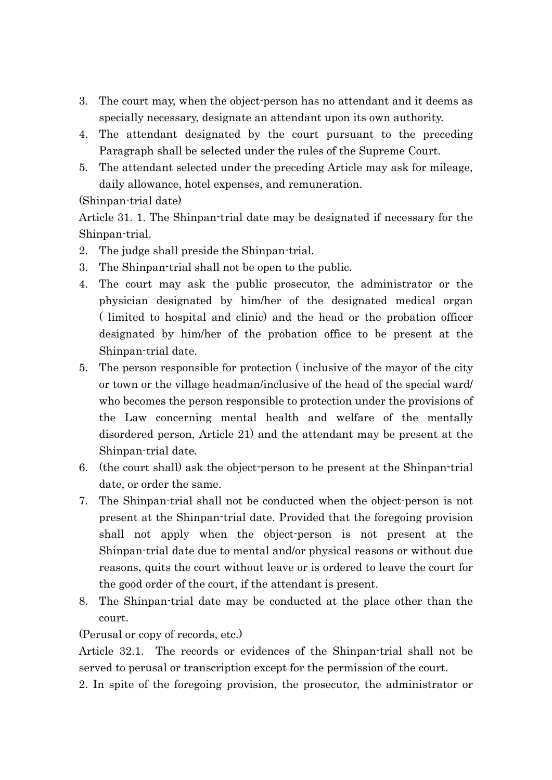- 3. The court may, when the object-person has no attendant and it deems as specially necessary, designate an attendant upon its own authority.
- 4. The attendant designated by the court pursuant to the preceding Paragraph shall be selected under the rules of the Supreme Court.
- 5. The attendant selected under the preceding Article may ask for mileage, daily allowance, hotel expenses, and remuneration.

## (Shinpan-trial date)

Article 31. 1. The Shinpan-trial date may be designated if necessary for the Shinpan-trial.

- 2. The judge shall preside the Shinpan-trial.
- 3. The Shinpan-trial shall not be open to the public.
- 4. The court may ask the public prosecutor, the administrator or the physician designated by him/her of the designated medical organ ( limited to hospital and clinic) and the head or the probation officer designated by him/her of the probation office to be present at the Shinpan-trial date.
- 5. The person responsible for protection ( inclusive of the mayor of the city or town or the village headman/inclusive of the head of the special ward/ who becomes the person responsible to protection under the provisions of the Law concerning mental health and welfare of the mentally disordered person, Article 21) and the attendant may be present at the Shinpan-trial date.
- 6. (the court shall) ask the object-person to be present at the Shinpan-trial date, or order the same.
- 7. The Shinpan-trial shall not be conducted when the object-person is not present at the Shinpan-trial date. Provided that the foregoing provision shall not apply when the object-person is not present at the Shinpan-trial date due to mental and/or physical reasons or without due reasons, quits the court without leave or is ordered to leave the court for the good order of the court, if the attendant is present.
- 8. The Shinpan-trial date may be conducted at the place other than the court.

### (Perusal or copy of records, etc.)

Article 32.1. The records or evidences of the Shinpan-trial shall not be served to perusal or transcription except for the permission of the court.

2. In spite of the foregoing provision, the prosecutor, the administrator or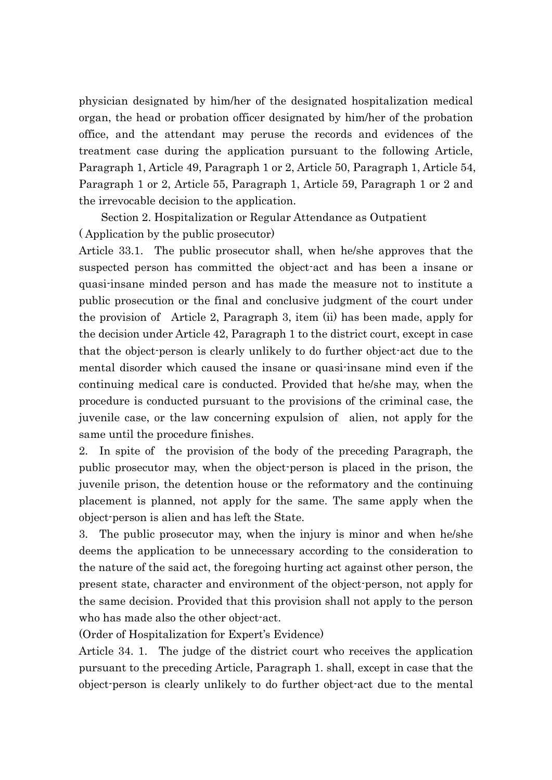physician designated by him/her of the designated hospitalization medical organ, the head or probation officer designated by him/her of the probation office, and the attendant may peruse the records and evidences of the treatment case during the application pursuant to the following Article, Paragraph 1, Article 49, Paragraph 1 or 2, Article 50, Paragraph 1, Article 54, Paragraph 1 or 2, Article 55, Paragraph 1, Article 59, Paragraph 1 or 2 and the irrevocable decision to the application.

Section 2. Hospitalization or Regular Attendance as Outpatient ( Application by the public prosecutor)

Article 33.1. The public prosecutor shall, when he/she approves that the suspected person has committed the object-act and has been a insane or quasi-insane minded person and has made the measure not to institute a public prosecution or the final and conclusive judgment of the court under the provision of Article 2, Paragraph 3, item (ii) has been made, apply for the decision under Article 42, Paragraph 1 to the district court, except in case that the object-person is clearly unlikely to do further object-act due to the mental disorder which caused the insane or quasi-insane mind even if the continuing medical care is conducted. Provided that he/she may, when the procedure is conducted pursuant to the provisions of the criminal case, the juvenile case, or the law concerning expulsion of alien, not apply for the same until the procedure finishes.

2. In spite of the provision of the body of the preceding Paragraph, the public prosecutor may, when the object-person is placed in the prison, the juvenile prison, the detention house or the reformatory and the continuing placement is planned, not apply for the same. The same apply when the object-person is alien and has left the State.

3. The public prosecutor may, when the injury is minor and when he/she deems the application to be unnecessary according to the consideration to the nature of the said act, the foregoing hurting act against other person, the present state, character and environment of the object-person, not apply for the same decision. Provided that this provision shall not apply to the person who has made also the other object-act.

(Order of Hospitalization for Expert's Evidence)

Article 34. 1. The judge of the district court who receives the application pursuant to the preceding Article, Paragraph 1. shall, except in case that the object-person is clearly unlikely to do further object-act due to the mental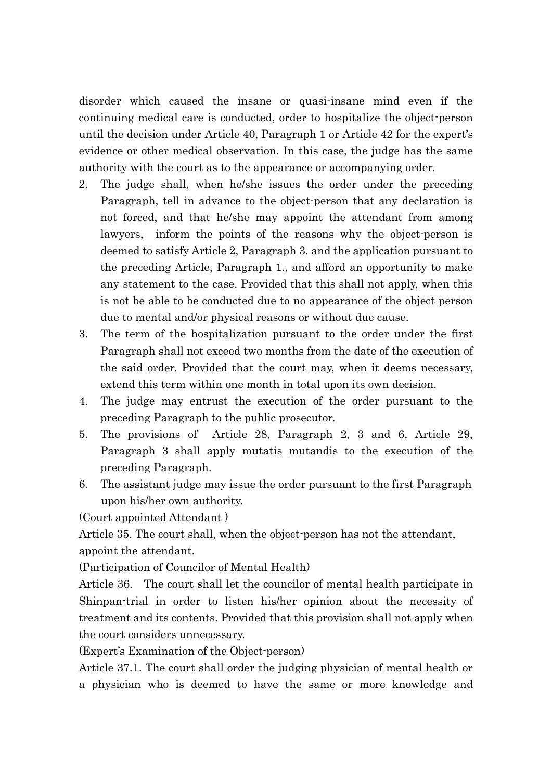disorder which caused the insane or quasi-insane mind even if the continuing medical care is conducted, order to hospitalize the object-person until the decision under Article 40, Paragraph 1 or Article 42 for the expert's evidence or other medical observation. In this case, the judge has the same authority with the court as to the appearance or accompanying order.

- 2. The judge shall, when he/she issues the order under the preceding Paragraph, tell in advance to the object-person that any declaration is not forced, and that he/she may appoint the attendant from among lawyers, inform the points of the reasons why the object-person is deemed to satisfy Article 2, Paragraph 3. and the application pursuant to the preceding Article, Paragraph 1., and afford an opportunity to make any statement to the case. Provided that this shall not apply, when this is not be able to be conducted due to no appearance of the object person due to mental and/or physical reasons or without due cause.
- 3. The term of the hospitalization pursuant to the order under the first Paragraph shall not exceed two months from the date of the execution of the said order. Provided that the court may, when it deems necessary, extend this term within one month in total upon its own decision.
- 4. The judge may entrust the execution of the order pursuant to the preceding Paragraph to the public prosecutor.
- 5. The provisions of Article 28, Paragraph 2, 3 and 6, Article 29, Paragraph 3 shall apply mutatis mutandis to the execution of the preceding Paragraph.
- 6. The assistant judge may issue the order pursuant to the first Paragraph upon his/her own authority.

(Court appointed Attendant )

Article 35. The court shall, when the object-person has not the attendant, appoint the attendant.

(Participation of Councilor of Mental Health)

Article 36. The court shall let the councilor of mental health participate in Shinpan-trial in order to listen his/her opinion about the necessity of treatment and its contents. Provided that this provision shall not apply when the court considers unnecessary.

(Expert's Examination of the Object-person)

Article 37.1. The court shall order the judging physician of mental health or a physician who is deemed to have the same or more knowledge and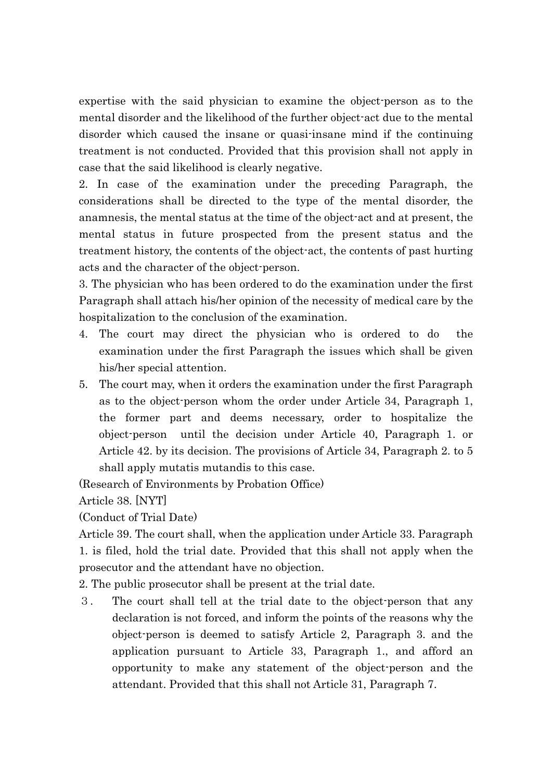expertise with the said physician to examine the object-person as to the mental disorder and the likelihood of the further object-act due to the mental disorder which caused the insane or quasi-insane mind if the continuing treatment is not conducted. Provided that this provision shall not apply in case that the said likelihood is clearly negative.

2. In case of the examination under the preceding Paragraph, the considerations shall be directed to the type of the mental disorder, the anamnesis, the mental status at the time of the object-act and at present, the mental status in future prospected from the present status and the treatment history, the contents of the object-act, the contents of past hurting acts and the character of the object-person.

3. The physician who has been ordered to do the examination under the first Paragraph shall attach his/her opinion of the necessity of medical care by the hospitalization to the conclusion of the examination.

- 4. The court may direct the physician who is ordered to do the examination under the first Paragraph the issues which shall be given his/her special attention.
- 5. The court may, when it orders the examination under the first Paragraph as to the object-person whom the order under Article 34, Paragraph 1, the former part and deems necessary, order to hospitalize the object-person until the decision under Article 40, Paragraph 1. or Article 42. by its decision. The provisions of Article 34, Paragraph 2. to 5 shall apply mutatis mutandis to this case.

(Research of Environments by Probation Office)

Article 38. [NYT]

(Conduct of Trial Date)

Article 39. The court shall, when the application under Article 33. Paragraph 1. is filed, hold the trial date. Provided that this shall not apply when the prosecutor and the attendant have no objection.

2. The public prosecutor shall be present at the trial date.

3. The court shall tell at the trial date to the object-person that any declaration is not forced, and inform the points of the reasons why the object-person is deemed to satisfy Article 2, Paragraph 3. and the application pursuant to Article 33, Paragraph 1., and afford an opportunity to make any statement of the object-person and the attendant. Provided that this shall not Article 31, Paragraph 7.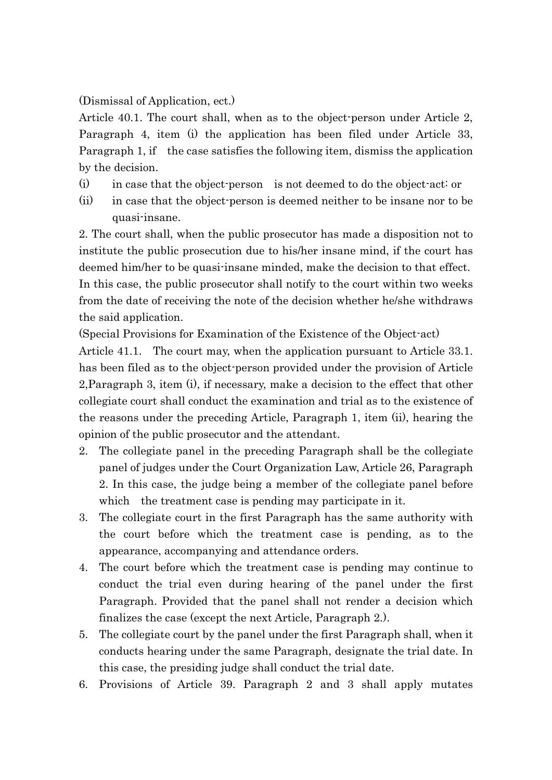(Dismissal of Application, ect.)

Article 40.1. The court shall, when as to the object-person under Article 2, Paragraph 4, item (i) the application has been filed under Article 33, Paragraph 1, if the case satisfies the following item, dismiss the application by the decision.

- (i) in case that the object-person is not deemed to do the object-act: or
- (ii) in case that the object-person is deemed neither to be insane nor to be quasi-insane.

2. The court shall, when the public prosecutor has made a disposition not to institute the public prosecution due to his/her insane mind, if the court has deemed him/her to be quasi-insane minded, make the decision to that effect. In this case, the public prosecutor shall notify to the court within two weeks from the date of receiving the note of the decision whether he/she withdraws the said application.

(Special Provisions for Examination of the Existence of the Object-act)

Article 41.1. The court may, when the application pursuant to Article 33.1. has been filed as to the object-person provided under the provision of Article 2,Paragraph 3, item (i), if necessary, make a decision to the effect that other collegiate court shall conduct the examination and trial as to the existence of the reasons under the preceding Article, Paragraph 1, item (ii), hearing the opinion of the public prosecutor and the attendant.

- 2. The collegiate panel in the preceding Paragraph shall be the collegiate panel of judges under the Court Organization Law, Article 26, Paragraph 2. In this case, the judge being a member of the collegiate panel before which the treatment case is pending may participate in it.
- 3. The collegiate court in the first Paragraph has the same authority with the court before which the treatment case is pending, as to the appearance, accompanying and attendance orders.
- 4. The court before which the treatment case is pending may continue to conduct the trial even during hearing of the panel under the first Paragraph. Provided that the panel shall not render a decision which finalizes the case (except the next Article, Paragraph 2.).
- 5. The collegiate court by the panel under the first Paragraph shall, when it conducts hearing under the same Paragraph, designate the trial date. In this case, the presiding judge shall conduct the trial date.
- 6. Provisions of Article 39. Paragraph 2 and 3 shall apply mutates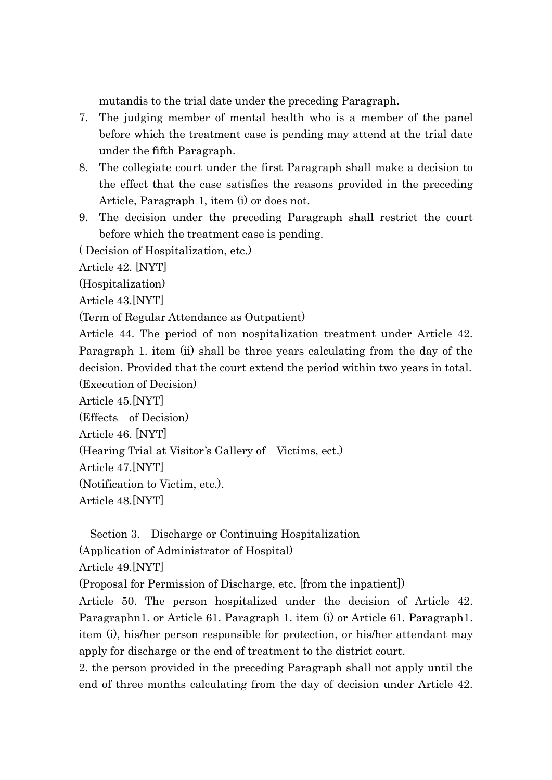mutandis to the trial date under the preceding Paragraph.

- 7. The judging member of mental health who is a member of the panel before which the treatment case is pending may attend at the trial date under the fifth Paragraph.
- 8. The collegiate court under the first Paragraph shall make a decision to the effect that the case satisfies the reasons provided in the preceding Article, Paragraph 1, item (i) or does not.
- 9. The decision under the preceding Paragraph shall restrict the court before which the treatment case is pending.

( Decision of Hospitalization, etc.)

Article 42. [NYT]

(Hospitalization)

Article 43.[NYT]

(Term of Regular Attendance as Outpatient)

Article 44. The period of non nospitalization treatment under Article 42. Paragraph 1. item (ii) shall be three years calculating from the day of the decision. Provided that the court extend the period within two years in total.

(Execution of Decision)

Article 45.[NYT]

(Effects of Decision)

Article 46. [NYT]

(Hearing Trial at Visitor's Gallery of Victims, ect.)

Article 47.[NYT]

(Notification to Victim, etc.).

Article 48.[NYT]

Section 3. Discharge or Continuing Hospitalization

(Application of Administrator of Hospital)

Article 49.[NYT]

(Proposal for Permission of Discharge, etc. [from the inpatient])

Article 50. The person hospitalized under the decision of Article 42. Paragraphn1. or Article 61. Paragraph 1. item (i) or Article 61. Paragraph1. item (i), his/her person responsible for protection, or his/her attendant may apply for discharge or the end of treatment to the district court.

2. the person provided in the preceding Paragraph shall not apply until the end of three months calculating from the day of decision under Article 42.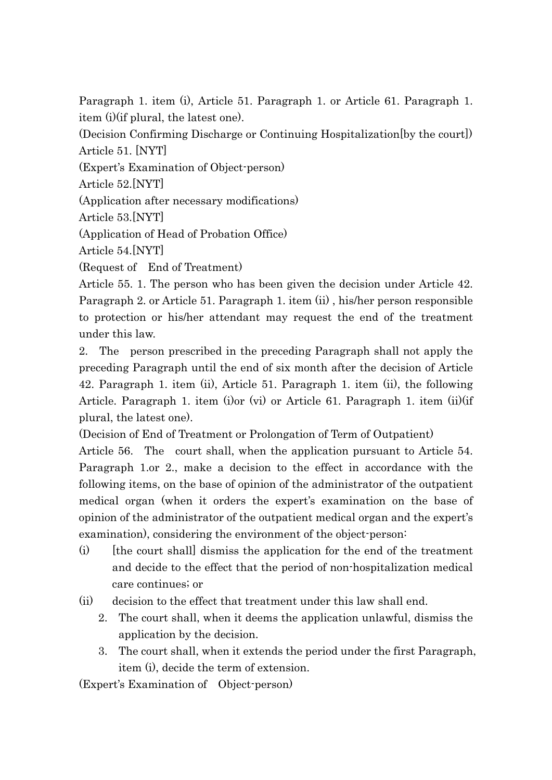Paragraph 1. item (i), Article 51. Paragraph 1. or Article 61. Paragraph 1. item (i)(if plural, the latest one).

(Decision Confirming Discharge or Continuing Hospitalization[by the court]) Article 51. [NYT]

(Expert's Examination of Object-person)

Article 52.[NYT]

(Application after necessary modifications)

Article 53.[NYT]

(Application of Head of Probation Office)

Article 54.[NYT]

(Request of End of Treatment)

Article 55. 1. The person who has been given the decision under Article 42. Paragraph 2. or Article 51. Paragraph 1. item (ii) , his/her person responsible to protection or his/her attendant may request the end of the treatment under this law.

2. The person prescribed in the preceding Paragraph shall not apply the preceding Paragraph until the end of six month after the decision of Article 42. Paragraph 1. item (ii), Article 51. Paragraph 1. item (ii), the following Article. Paragraph 1. item (i)or (vi) or Article 61. Paragraph 1. item (ii)(if plural, the latest one).

(Decision of End of Treatment or Prolongation of Term of Outpatient)

Article 56. The court shall, when the application pursuant to Article 54. Paragraph 1.or 2., make a decision to the effect in accordance with the following items, on the base of opinion of the administrator of the outpatient medical organ (when it orders the expert's examination on the base of opinion of the administrator of the outpatient medical organ and the expert's examination), considering the environment of the object-person:

- (i) [the court shall] dismiss the application for the end of the treatment and decide to the effect that the period of non-hospitalization medical care continues; or
- (ii) decision to the effect that treatment under this law shall end.
	- 2. The court shall, when it deems the application unlawful, dismiss the application by the decision.
	- 3. The court shall, when it extends the period under the first Paragraph, item (i), decide the term of extension.

(Expert's Examination of Object-person)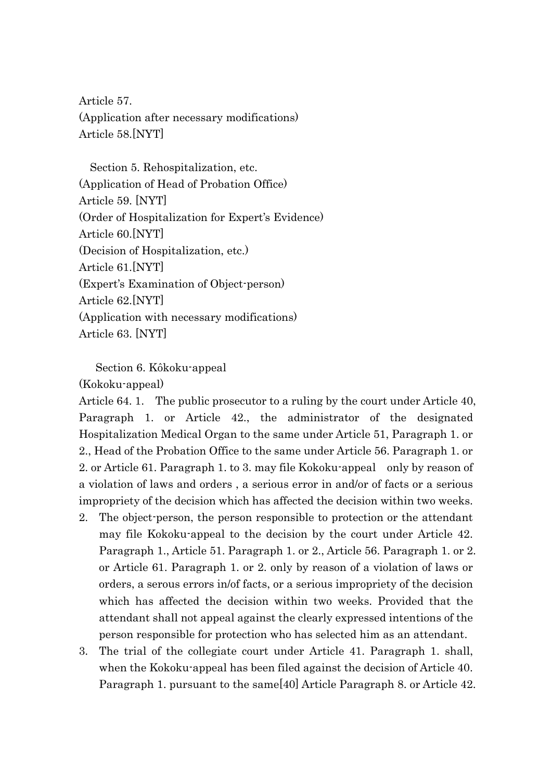Article 57. (Application after necessary modifications) Article 58.[NYT]

 Section 5. Rehospitalization, etc. (Application of Head of Probation Office) Article 59. [NYT] (Order of Hospitalization for Expert's Evidence) Article 60.[NYT] (Decision of Hospitalization, etc.) Article 61.[NYT] (Expert's Examination of Object-person) Article 62.[NYT] (Application with necessary modifications) Article 63. [NYT]

Section 6. Kôkoku-appeal

#### (Kokoku-appeal)

Article 64. 1. The public prosecutor to a ruling by the court under Article 40, Paragraph 1. or Article 42., the administrator of the designated Hospitalization Medical Organ to the same under Article 51, Paragraph 1. or 2., Head of the Probation Office to the same under Article 56. Paragraph 1. or 2. or Article 61. Paragraph 1. to 3. may file Kokoku-appeal only by reason of a violation of laws and orders , a serious error in and/or of facts or a serious impropriety of the decision which has affected the decision within two weeks.

- 2. The object-person, the person responsible to protection or the attendant may file Kokoku-appeal to the decision by the court under Article 42. Paragraph 1., Article 51. Paragraph 1. or 2., Article 56. Paragraph 1. or 2. or Article 61. Paragraph 1. or 2. only by reason of a violation of laws or orders, a serous errors in/of facts, or a serious impropriety of the decision which has affected the decision within two weeks. Provided that the attendant shall not appeal against the clearly expressed intentions of the person responsible for protection who has selected him as an attendant.
- 3. The trial of the collegiate court under Article 41. Paragraph 1. shall, when the Kokoku-appeal has been filed against the decision of Article 40. Paragraph 1. pursuant to the same[40] Article Paragraph 8. or Article 42.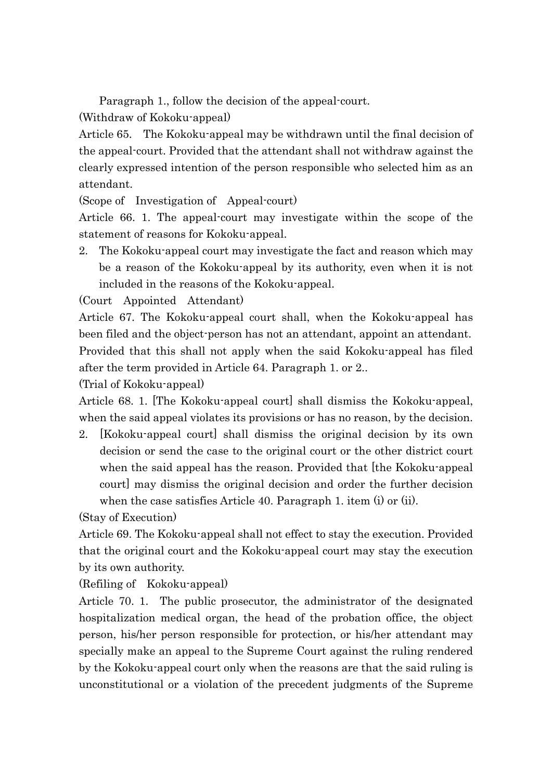Paragraph 1., follow the decision of the appeal-court.

(Withdraw of Kokoku-appeal)

Article 65. The Kokoku-appeal may be withdrawn until the final decision of the appeal-court. Provided that the attendant shall not withdraw against the clearly expressed intention of the person responsible who selected him as an attendant.

(Scope of Investigation of Appeal-court)

Article 66. 1. The appeal-court may investigate within the scope of the statement of reasons for Kokoku-appeal.

2. The Kokoku-appeal court may investigate the fact and reason which may be a reason of the Kokoku-appeal by its authority, even when it is not included in the reasons of the Kokoku-appeal.

(Court Appointed Attendant)

Article 67. The Kokoku-appeal court shall, when the Kokoku-appeal has been filed and the object-person has not an attendant, appoint an attendant. Provided that this shall not apply when the said Kokoku-appeal has filed after the term provided in Article 64. Paragraph 1. or 2..

(Trial of Kokoku-appeal)

Article 68. 1. [The Kokoku-appeal court] shall dismiss the Kokoku-appeal, when the said appeal violates its provisions or has no reason, by the decision.

2. [Kokoku-appeal court] shall dismiss the original decision by its own decision or send the case to the original court or the other district court when the said appeal has the reason. Provided that the Kokoku-appeal court] may dismiss the original decision and order the further decision when the case satisfies Article 40. Paragraph 1. item (i) or (ii).

(Stay of Execution)

Article 69. The Kokoku-appeal shall not effect to stay the execution. Provided that the original court and the Kokoku-appeal court may stay the execution by its own authority.

(Refiling of Kokoku-appeal)

Article 70. 1. The public prosecutor, the administrator of the designated hospitalization medical organ, the head of the probation office, the object person, his/her person responsible for protection, or his/her attendant may specially make an appeal to the Supreme Court against the ruling rendered by the Kokoku-appeal court only when the reasons are that the said ruling is unconstitutional or a violation of the precedent judgments of the Supreme